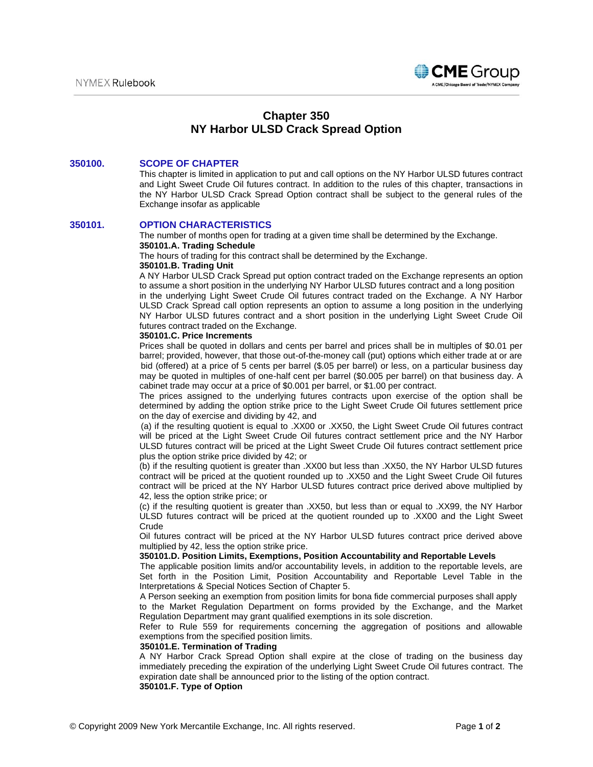

# **Chapter 350 NY Harbor ULSD Crack Spread Option**

## **350100. SCOPE OF CHAPTER**

This chapter is limited in application to put and call options on the NY Harbor ULSD futures contract and Light Sweet Crude Oil futures contract. In addition to the rules of this chapter, transactions in the NY Harbor ULSD Crack Spread Option contract shall be subject to the general rules of the Exchange insofar as applicable

### **350101. OPTION CHARACTERISTICS**

The number of months open for trading at a given time shall be determined by the Exchange. **350101.A. Trading Schedule** 

The hours of trading for this contract shall be determined by the Exchange.

#### **350101.B. Trading Unit**

A NY Harbor ULSD Crack Spread put option contract traded on the Exchange represents an option to assume a short position in the underlying NY Harbor ULSD futures contract and a long position in the underlying Light Sweet Crude Oil futures contract traded on the Exchange. A NY Harbor ULSD Crack Spread call option represents an option to assume a long position in the underlying

NY Harbor ULSD futures contract and a short position in the underlying Light Sweet Crude Oil futures contract traded on the Exchange.

# **350101.C. Price Increments**

Prices shall be quoted in dollars and cents per barrel and prices shall be in multiples of \$0.01 per barrel; provided, however, that those out-of-the-money call (put) options which either trade at or are bid (offered) at a price of 5 cents per barrel (\$.05 per barrel) or less, on a particular business day may be quoted in multiples of one-half cent per barrel (\$0.005 per barrel) on that business day. A cabinet trade may occur at a price of \$0.001 per barrel, or \$1.00 per contract.

The prices assigned to the underlying futures contracts upon exercise of the option shall be determined by adding the option strike price to the Light Sweet Crude Oil futures settlement price on the day of exercise and dividing by 42, and

(a) if the resulting quotient is equal to .XX00 or .XX50, the Light Sweet Crude Oil futures contract will be priced at the Light Sweet Crude Oil futures contract settlement price and the NY Harbor ULSD futures contract will be priced at the Light Sweet Crude Oil futures contract settlement price plus the option strike price divided by 42; or

(b) if the resulting quotient is greater than .XX00 but less than .XX50, the NY Harbor ULSD futures contract will be priced at the quotient rounded up to .XX50 and the Light Sweet Crude Oil futures contract will be priced at the NY Harbor ULSD futures contract price derived above multiplied by 42, less the option strike price; or

(c) if the resulting quotient is greater than .XX50, but less than or equal to .XX99, the NY Harbor ULSD futures contract will be priced at the quotient rounded up to .XX00 and the Light Sweet **Crude** 

Oil futures contract will be priced at the NY Harbor ULSD futures contract price derived above multiplied by 42, less the option strike price.

#### **350101.D. Position Limits, Exemptions, Position Accountability and Reportable Levels**

The applicable position limits and/or accountability levels, in addition to the reportable levels, are Set forth in the Position Limit, Position Accountability and Reportable Level Table in the Interpretations & Special Notices Section of Chapter 5.

A Person seeking an exemption from position limits for bona fide commercial purposes shall apply

to the Market Regulation Department on forms provided by the Exchange, and the Market Regulation Department may grant qualified exemptions in its sole discretion.

Refer to Rule 559 for requirements concerning the aggregation of positions and allowable exemptions from the specified position limits.

#### **350101.E. Termination of Trading**

A NY Harbor Crack Spread Option shall expire at the close of trading on the business day immediately preceding the expiration of the underlying Light Sweet Crude Oil futures contract. The expiration date shall be announced prior to the listing of the option contract.

## **350101.F. Type of Option**